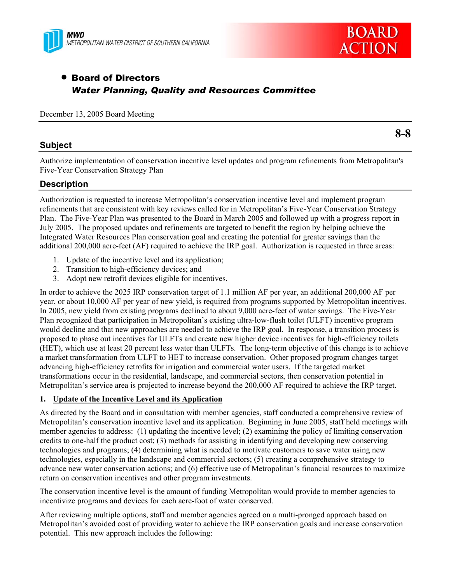



# • Board of Directors *Water Planning, Quality and Resources Committee*

December 13, 2005 Board Meeting

## **Subject**

Authorize implementation of conservation incentive level updates and program refinements from Metropolitan's Five-Year Conservation Strategy Plan

## **Description**

Authorization is requested to increase Metropolitan's conservation incentive level and implement program refinements that are consistent with key reviews called for in Metropolitan's Five-Year Conservation Strategy Plan. The Five-Year Plan was presented to the Board in March 2005 and followed up with a progress report in July 2005. The proposed updates and refinements are targeted to benefit the region by helping achieve the Integrated Water Resources Plan conservation goal and creating the potential for greater savings than the additional 200,000 acre-feet (AF) required to achieve the IRP goal. Authorization is requested in three areas:

- 1. Update of the incentive level and its application;
- 2. Transition to high-efficiency devices; and
- 3. Adopt new retrofit devices eligible for incentives.

In order to achieve the 2025 IRP conservation target of 1.1 million AF per year, an additional 200,000 AF per year, or about 10,000 AF per year of new yield, is required from programs supported by Metropolitan incentives. In 2005, new yield from existing programs declined to about 9,000 acre-feet of water savings. The Five-Year Plan recognized that participation in Metropolitan's existing ultra-low-flush toilet (ULFT) incentive program would decline and that new approaches are needed to achieve the IRP goal. In response, a transition process is proposed to phase out incentives for ULFTs and create new higher device incentives for high-efficiency toilets (HET), which use at least 20 percent less water than ULFTs. The long-term objective of this change is to achieve a market transformation from ULFT to HET to increase conservation. Other proposed program changes target advancing high-efficiency retrofits for irrigation and commercial water users. If the targeted market transformations occur in the residential, landscape, and commercial sectors, then conservation potential in Metropolitan's service area is projected to increase beyond the 200,000 AF required to achieve the IRP target.

## **1. Update of the Incentive Level and its Application**

As directed by the Board and in consultation with member agencies, staff conducted a comprehensive review of Metropolitan's conservation incentive level and its application. Beginning in June 2005, staff held meetings with member agencies to address: (1) updating the incentive level; (2) examining the policy of limiting conservation credits to one-half the product cost; (3) methods for assisting in identifying and developing new conserving technologies and programs; (4) determining what is needed to motivate customers to save water using new technologies, especially in the landscape and commercial sectors; (5) creating a comprehensive strategy to advance new water conservation actions; and (6) effective use of Metropolitan's financial resources to maximize return on conservation incentives and other program investments.

The conservation incentive level is the amount of funding Metropolitan would provide to member agencies to incentivize programs and devices for each acre-foot of water conserved.

After reviewing multiple options, staff and member agencies agreed on a multi-pronged approach based on Metropolitan's avoided cost of providing water to achieve the IRP conservation goals and increase conservation potential. This new approach includes the following:

**8-8**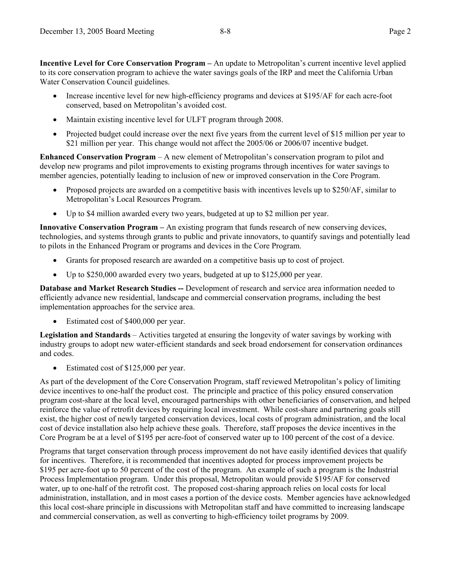**Incentive Level for Core Conservation Program –** An update to Metropolitan's current incentive level applied to its core conservation program to achieve the water savings goals of the IRP and meet the California Urban Water Conservation Council guidelines.

- Increase incentive level for new high-efficiency programs and devices at \$195/AF for each acre-foot conserved, based on Metropolitan's avoided cost.
- Maintain existing incentive level for ULFT program through 2008.
- Projected budget could increase over the next five years from the current level of \$15 million per year to \$21 million per year. This change would not affect the 2005/06 or 2006/07 incentive budget.

**Enhanced Conservation Program** – A new element of Metropolitan's conservation program to pilot and develop new programs and pilot improvements to existing programs through incentives for water savings to member agencies, potentially leading to inclusion of new or improved conservation in the Core Program.

- Proposed projects are awarded on a competitive basis with incentives levels up to \$250/AF, similar to Metropolitan's Local Resources Program.
- Up to \$4 million awarded every two years, budgeted at up to \$2 million per year.

**Innovative Conservation Program –** An existing program that funds research of new conserving devices, technologies, and systems through grants to public and private innovators, to quantify savings and potentially lead to pilots in the Enhanced Program or programs and devices in the Core Program.

- Grants for proposed research are awarded on a competitive basis up to cost of project.
- Up to \$250,000 awarded every two years, budgeted at up to \$125,000 per year.

**Database and Market Research Studies --** Development of research and service area information needed to efficiently advance new residential, landscape and commercial conservation programs, including the best implementation approaches for the service area.

• Estimated cost of \$400,000 per year.

**Legislation and Standards** – Activities targeted at ensuring the longevity of water savings by working with industry groups to adopt new water-efficient standards and seek broad endorsement for conservation ordinances and codes.

Estimated cost of \$125,000 per year.

As part of the development of the Core Conservation Program, staff reviewed Metropolitan's policy of limiting device incentives to one-half the product cost. The principle and practice of this policy ensured conservation program cost-share at the local level, encouraged partnerships with other beneficiaries of conservation, and helped reinforce the value of retrofit devices by requiring local investment. While cost-share and partnering goals still exist, the higher cost of newly targeted conservation devices, local costs of program administration, and the local cost of device installation also help achieve these goals. Therefore, staff proposes the device incentives in the Core Program be at a level of \$195 per acre-foot of conserved water up to 100 percent of the cost of a device.

Programs that target conservation through process improvement do not have easily identified devices that qualify for incentives. Therefore, it is recommended that incentives adopted for process improvement projects be \$195 per acre-foot up to 50 percent of the cost of the program. An example of such a program is the Industrial Process Implementation program. Under this proposal, Metropolitan would provide \$195/AF for conserved water, up to one-half of the retrofit cost. The proposed cost-sharing approach relies on local costs for local administration, installation, and in most cases a portion of the device costs. Member agencies have acknowledged this local cost-share principle in discussions with Metropolitan staff and have committed to increasing landscape and commercial conservation, as well as converting to high-efficiency toilet programs by 2009.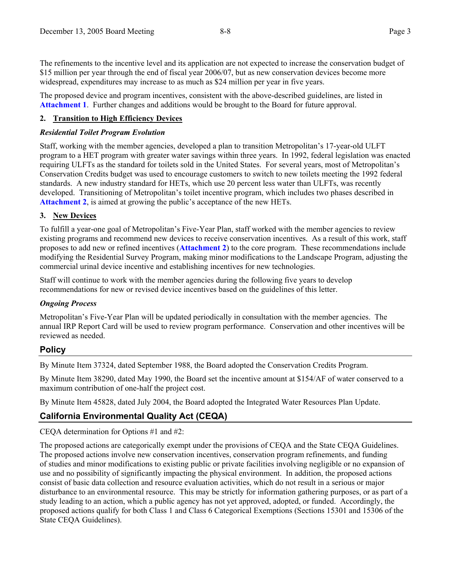The refinements to the incentive level and its application are not expected to increase the conservation budget of \$15 million per year through the end of fiscal year 2006/07, but as new conservation devices become more widespread, expenditures may increase to as much as \$24 million per year in five years.

The proposed device and program incentives, consistent with the above-described guidelines, are listed in **Attachment 1**. Further changes and additions would be brought to the Board for future approval.

### **2. Transition to High Efficiency Devices**

### *Residential Toilet Program Evolution*

Staff, working with the member agencies, developed a plan to transition Metropolitan's 17-year-old ULFT program to a HET program with greater water savings within three years. In 1992, federal legislation was enacted requiring ULFTs as the standard for toilets sold in the United States. For several years, most of Metropolitan's Conservation Credits budget was used to encourage customers to switch to new toilets meeting the 1992 federal standards. A new industry standard for HETs, which use 20 percent less water than ULFTs, was recently developed. Transitioning of Metropolitan's toilet incentive program, which includes two phases described in **Attachment 2**, is aimed at growing the public's acceptance of the new HETs.

### **3. New Devices**

To fulfill a year-one goal of Metropolitan's Five-Year Plan, staff worked with the member agencies to review existing programs and recommend new devices to receive conservation incentives. As a result of this work, staff proposes to add new or refined incentives (**Attachment 2**) to the core program. These recommendations include modifying the Residential Survey Program, making minor modifications to the Landscape Program, adjusting the commercial urinal device incentive and establishing incentives for new technologies.

Staff will continue to work with the member agencies during the following five years to develop recommendations for new or revised device incentives based on the guidelines of this letter.

### *Ongoing Process*

Metropolitan's Five-Year Plan will be updated periodically in consultation with the member agencies. The annual IRP Report Card will be used to review program performance. Conservation and other incentives will be reviewed as needed.

## **Policy**

By Minute Item 37324, dated September 1988, the Board adopted the Conservation Credits Program.

By Minute Item 38290, dated May 1990, the Board set the incentive amount at \$154/AF of water conserved to a maximum contribution of one-half the project cost.

By Minute Item 45828, dated July 2004, the Board adopted the Integrated Water Resources Plan Update.

## **California Environmental Quality Act (CEQA)**

### CEQA determination for Options #1 and #2:

The proposed actions are categorically exempt under the provisions of CEQA and the State CEQA Guidelines. The proposed actions involve new conservation incentives, conservation program refinements, and funding of studies and minor modifications to existing public or private facilities involving negligible or no expansion of use and no possibility of significantly impacting the physical environment. In addition, the proposed actions consist of basic data collection and resource evaluation activities, which do not result in a serious or major disturbance to an environmental resource. This may be strictly for information gathering purposes, or as part of a study leading to an action, which a public agency has not yet approved, adopted, or funded. Accordingly, the proposed actions qualify for both Class 1 and Class 6 Categorical Exemptions (Sections 15301 and 15306 of the State CEQA Guidelines).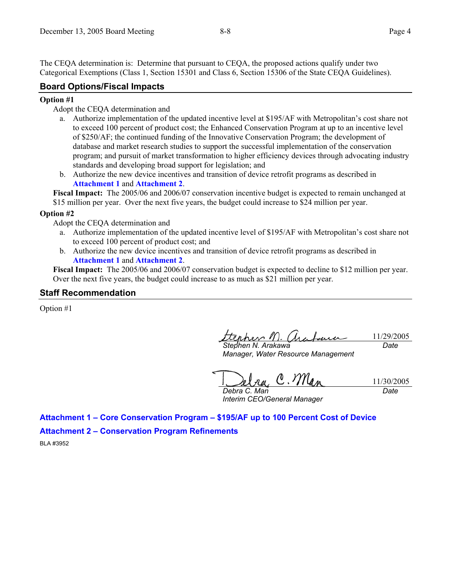The CEQA determination is: Determine that pursuant to CEQA, the proposed actions qualify under two Categorical Exemptions (Class 1, Section 15301 and Class 6, Section 15306 of the State CEQA Guidelines).

### **Board Options/Fiscal Impacts**

#### **Option #1**

- Adopt the CEQA determination and
	- a. Authorize implementation of the updated incentive level at \$195/AF with Metropolitan's cost share not to exceed 100 percent of product cost; the Enhanced Conservation Program at up to an incentive level of \$250/AF; the continued funding of the Innovative Conservation Program; the development of database and market research studies to support the successful implementation of the conservation program; and pursuit of market transformation to higher efficiency devices through advocating industry standards and developing broad support for legislation; and
	- b. Authorize the new device incentives and transition of device retrofit programs as described in **Attachment 1** and **Attachment 2**.

**Fiscal Impact:** The 2005/06 and 2006/07 conservation incentive budget is expected to remain unchanged at \$15 million per year. Over the next five years, the budget could increase to \$24 million per year.

#### **Option #2**

Adopt the CEQA determination and

- a. Authorize implementation of the updated incentive level of \$195/AF with Metropolitan's cost share not to exceed 100 percent of product cost; and
- b. Authorize the new device incentives and transition of device retrofit programs as described in **Attachment 1** and **Attachment 2**.

**Fiscal Impact:** The 2005/06 and 2006/07 conservation budget is expected to decline to \$12 million per year. Over the next five years, the budget could increase to as much as \$21 million per year.

#### **Staff Recommendation**

Option #1

erhev M. 11/29/2005 *Stephen N. Arakawa Date* 

*Manager, Water Resource Management* 

11/30/2005

*Debra C. Man Interim CEO/General Manager* 

*Date* 

**Attachment 1 – Core Conservation Program – \$195/AF up to 100 Percent Cost of Device Attachment 2 – Conservation Program Refinements** 

BLA #3952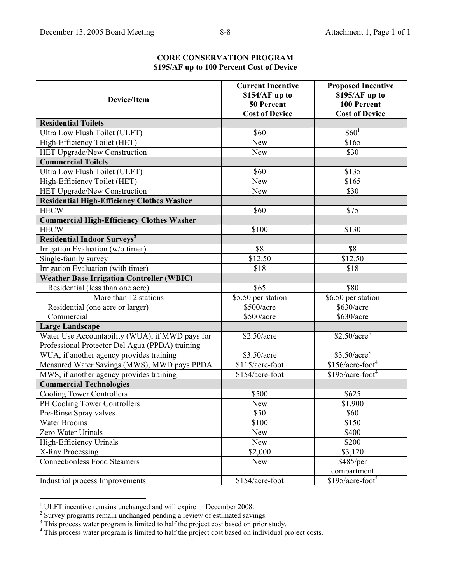| <b>Device/Item</b>                                                                                 | <b>Current Incentive</b><br>\$154/AF up to<br>50 Percent<br><b>Cost of Device</b> | <b>Proposed Incentive</b><br>\$195/AF up to<br>100 Percent<br><b>Cost of Device</b> |
|----------------------------------------------------------------------------------------------------|-----------------------------------------------------------------------------------|-------------------------------------------------------------------------------------|
| <b>Residential Toilets</b>                                                                         |                                                                                   |                                                                                     |
| Ultra Low Flush Toilet (ULFT)                                                                      | \$60                                                                              | $$60^1$                                                                             |
| High-Efficiency Toilet (HET)                                                                       | <b>New</b>                                                                        | \$165                                                                               |
| HET Upgrade/New Construction                                                                       | New                                                                               | \$30                                                                                |
| <b>Commercial Toilets</b>                                                                          |                                                                                   |                                                                                     |
| Ultra Low Flush Toilet (ULFT)                                                                      | \$60                                                                              | \$135                                                                               |
| High-Efficiency Toilet (HET)                                                                       | <b>New</b>                                                                        | $\overline{$165}$                                                                   |
| HET Upgrade/New Construction                                                                       | New                                                                               | \$30                                                                                |
| <b>Residential High-Efficiency Clothes Washer</b>                                                  |                                                                                   |                                                                                     |
| <b>HECW</b>                                                                                        | \$60                                                                              | \$75                                                                                |
| <b>Commercial High-Efficiency Clothes Washer</b>                                                   |                                                                                   |                                                                                     |
| <b>HECW</b>                                                                                        | \$100                                                                             | \$130                                                                               |
| <b>Residential Indoor Surveys<sup>2</sup></b>                                                      |                                                                                   |                                                                                     |
| Irrigation Evaluation (w/o timer)                                                                  | \$8                                                                               | \$8                                                                                 |
| Single-family survey                                                                               | \$12.50                                                                           | \$12.50                                                                             |
| Irrigation Evaluation (with timer)                                                                 | \$18                                                                              | \$18                                                                                |
| <b>Weather Base Irrigation Controller (WBIC)</b>                                                   |                                                                                   |                                                                                     |
| Residential (less than one acre)                                                                   | \$65                                                                              | \$80                                                                                |
| More than 12 stations                                                                              | \$5.50 per station                                                                | \$6.50 per station                                                                  |
| Residential (one acre or larger)                                                                   | \$500/acre                                                                        | \$630/acre                                                                          |
| Commercial                                                                                         | \$500/acre                                                                        | $\overline{$630/acre}$                                                              |
| <b>Large Landscape</b>                                                                             |                                                                                   |                                                                                     |
| Water Use Accountability (WUA), if MWD pays for<br>Professional Protector Del Agua (PPDA) training | \$2.50/acre                                                                       | $$2.50/acre^3$                                                                      |
| WUA, if another agency provides training                                                           | \$3.50/acre                                                                       | $$3.50/acre^3$                                                                      |
| Measured Water Savings (MWS), MWD pays PPDA                                                        | \$115/acre-foot                                                                   | $$156/acre-foot4$                                                                   |
| MWS, if another agency provides training                                                           | \$154/acre-foot                                                                   | $$195/acre$ -foot <sup>4</sup>                                                      |
| <b>Commercial Technologies</b>                                                                     |                                                                                   |                                                                                     |
| <b>Cooling Tower Controllers</b>                                                                   | \$500                                                                             | \$625                                                                               |
| PH Cooling Tower Controllers                                                                       | <b>New</b>                                                                        | \$1,900                                                                             |
| Pre-Rinse Spray valves                                                                             | \$50                                                                              | \$60                                                                                |
| <b>Water Brooms</b>                                                                                | \$100                                                                             | \$150                                                                               |
| Zero Water Urinals                                                                                 | <b>New</b>                                                                        | \$400                                                                               |
| High-Efficiency Urinals                                                                            | <b>New</b>                                                                        | \$200                                                                               |
| X-Ray Processing                                                                                   | \$2,000                                                                           | \$3,120                                                                             |
| <b>Connectionless Food Steamers</b>                                                                | <b>New</b>                                                                        | \$485/per                                                                           |
|                                                                                                    |                                                                                   | compartment                                                                         |
| Industrial process Improvements                                                                    | \$154/acre-foot                                                                   | $\sqrt{$195/ac}$ re-foot <sup>4</sup>                                               |

**CORE CONSERVATION PROGRAM \$195/AF up to 100 Percent Cost of Device** 

<sup>&</sup>lt;sup>1</sup> ULFT incentive remains unchanged and will expire in December 2008.<br><sup>2</sup> Survey programs remain unchanged pending a review of estimated savings.<br><sup>3</sup> This process water program is limited to half the project cost based o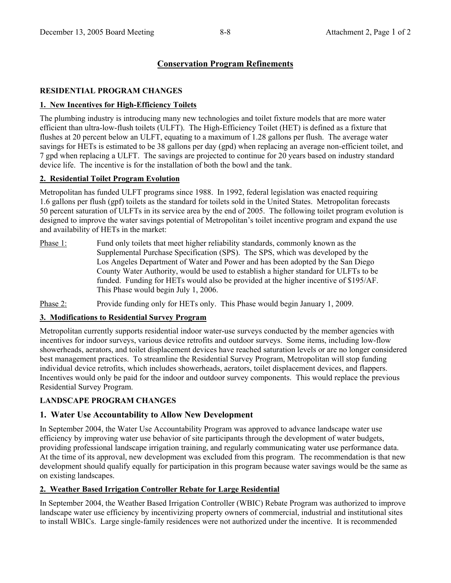## **Conservation Program Refinements**

## **RESIDENTIAL PROGRAM CHANGES**

### **1. New Incentives for High-Efficiency Toilets**

The plumbing industry is introducing many new technologies and toilet fixture models that are more water efficient than ultra-low-flush toilets (ULFT). The High-Efficiency Toilet (HET) is defined as a fixture that flushes at 20 percent below an ULFT, equating to a maximum of 1.28 gallons per flush. The average water savings for HETs is estimated to be 38 gallons per day (gpd) when replacing an average non-efficient toilet, and 7 gpd when replacing a ULFT. The savings are projected to continue for 20 years based on industry standard device life. The incentive is for the installation of both the bowl and the tank.

### **2. Residential Toilet Program Evolution**

Metropolitan has funded ULFT programs since 1988. In 1992, federal legislation was enacted requiring 1.6 gallons per flush (gpf) toilets as the standard for toilets sold in the United States. Metropolitan forecasts 50 percent saturation of ULFTs in its service area by the end of 2005. The following toilet program evolution is designed to improve the water savings potential of Metropolitan's toilet incentive program and expand the use and availability of HETs in the market:

Phase 1: Fund only toilets that meet higher reliability standards, commonly known as the Supplemental Purchase Specification (SPS). The SPS, which was developed by the Los Angeles Department of Water and Power and has been adopted by the San Diego County Water Authority, would be used to establish a higher standard for ULFTs to be funded. Funding for HETs would also be provided at the higher incentive of \$195/AF. This Phase would begin July 1, 2006.

Phase 2: Provide funding only for HETs only. This Phase would begin January 1, 2009.

### **3. Modifications to Residential Survey Program**

Metropolitan currently supports residential indoor water-use surveys conducted by the member agencies with incentives for indoor surveys, various device retrofits and outdoor surveys. Some items, including low-flow showerheads, aerators, and toilet displacement devices have reached saturation levels or are no longer considered best management practices. To streamline the Residential Survey Program, Metropolitan will stop funding individual device retrofits, which includes showerheads, aerators, toilet displacement devices, and flappers. Incentives would only be paid for the indoor and outdoor survey components. This would replace the previous Residential Survey Program.

## **LANDSCAPE PROGRAM CHANGES**

## **1. Water Use Accountability to Allow New Development**

In September 2004, the Water Use Accountability Program was approved to advance landscape water use efficiency by improving water use behavior of site participants through the development of water budgets, providing professional landscape irrigation training, and regularly communicating water use performance data. At the time of its approval, new development was excluded from this program. The recommendation is that new development should qualify equally for participation in this program because water savings would be the same as on existing landscapes.

## **2. Weather Based Irrigation Controller Rebate for Large Residential**

In September 2004, the Weather Based Irrigation Controller (WBIC) Rebate Program was authorized to improve landscape water use efficiency by incentivizing property owners of commercial, industrial and institutional sites to install WBICs. Large single-family residences were not authorized under the incentive. It is recommended